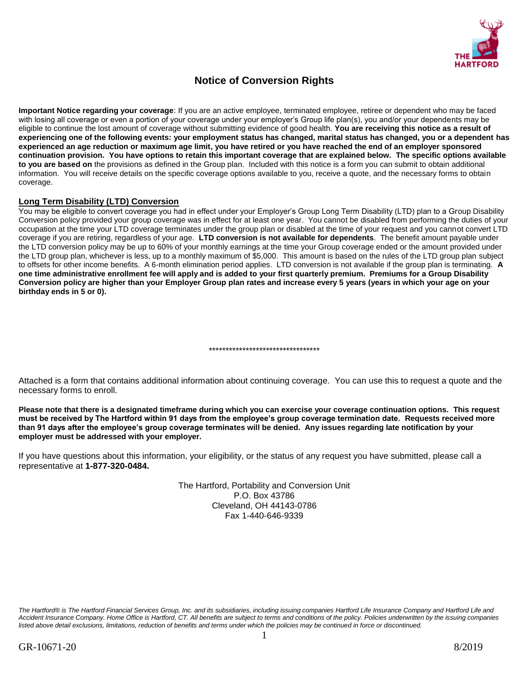

# **Notice of Conversion Rights**

**Important Notice regarding your coverage**: If you are an active employee, terminated employee, retiree or dependent who may be faced with losing all coverage or even a portion of your coverage under your employer's Group life plan(s), you and/or your dependents may be eligible to continue the lost amount of coverage without submitting evidence of good health. **You are receiving this notice as a result of**  experiencing one of the following events: your employment status has changed, marital status has changed, you or a dependent has **experienced an age reduction or maximum age limit, you have retired or you have reached the end of an employer sponsored continuation provision. You have options to retain this important coverage that are explained below. The specific options available to you are based on** the provisions as defined in the Group plan. Included with this notice is a form you can submit to obtain additional information. You will receive details on the specific coverage options available to you, receive a quote, and the necessary forms to obtain coverage.

# **Long Term Disability (LTD) Conversion**

You may be eligible to convert coverage you had in effect under your Employer's Group Long Term Disability (LTD) plan to a Group Disability Conversion policy provided your group coverage was in effect for at least one year. You cannot be disabled from performing the duties of your occupation at the time your LTD coverage terminates under the group plan or disabled at the time of your request and you cannot convert LTD coverage if you are retiring, regardless of your age. **LTD conversion is not available for dependents**. The benefit amount payable under the LTD conversion policy may be up to 60% of your monthly earnings at the time your Group coverage ended or the amount provided under the LTD group plan, whichever is less, up to a monthly maximum of \$5,000. This amount is based on the rules of the LTD group plan subject to offsets for other income benefits. A 6-month elimination period applies. LTD conversion is not available if the group plan is terminating. **A one time administrative enrollment fee will apply and is added to your first quarterly premium. Premiums for a Group Disability Conversion policy are higher than your Employer Group plan rates and increase every 5 years (years in which your age on your birthday ends in 5 or 0).**

\*\*\*\*\*\*\*\*\*\*\*\*\*\*\*\*\*\*\*\*\*\*\*\*\*\*\*\*\*\*\*\*\*

Attached is a form that contains additional information about continuing coverage. You can use this to request a quote and the necessary forms to enroll.

**Please note that there is a designated timeframe during which you can exercise your coverage continuation options. This request must be received by The Hartford within 91 days from the employee's group coverage termination date. Requests received more than 91 days after the employee's group coverage terminates will be denied. Any issues regarding late notification by your employer must be addressed with your employer.**

If you have questions about this information, your eligibility, or the status of any request you have submitted, please call a representative at **1-877-320-0484.**

> The Hartford, Portability and Conversion Unit P.O. Box 43786 Cleveland, OH 44143-0786 Fax 1-440-646-9339

*The Hartford® is The Hartford Financial Services Group, Inc. and its subsidiaries, including issuing companies Hartford Life Insurance Company and Hartford Life and Accident Insurance Company. Home Office is Hartford, CT. All benefits are subject to terms and conditions of the policy. Policies underwritten by the issuing companies listed above detail exclusions, limitations, reduction of benefits and terms under which the policies may be continued in force or discontinued.*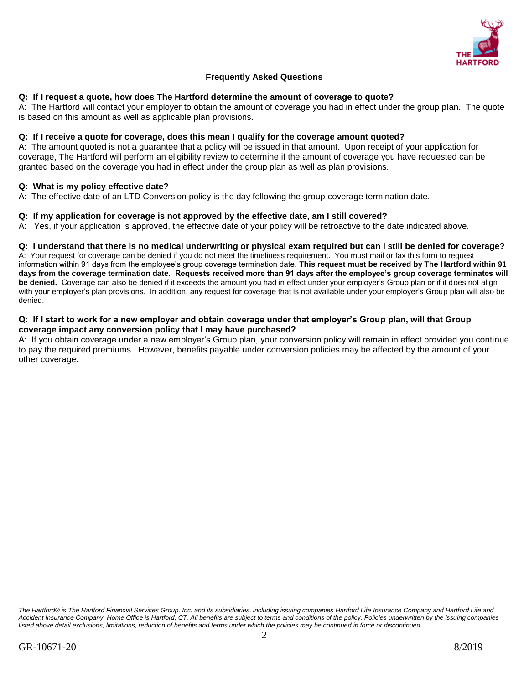

# **Frequently Asked Questions**

#### **Q: If I request a quote, how does The Hartford determine the amount of coverage to quote?**

A: The Hartford will contact your employer to obtain the amount of coverage you had in effect under the group plan. The quote is based on this amount as well as applicable plan provisions.

#### **Q: If I receive a quote for coverage, does this mean I qualify for the coverage amount quoted?**

A: The amount quoted is not a guarantee that a policy will be issued in that amount. Upon receipt of your application for coverage, The Hartford will perform an eligibility review to determine if the amount of coverage you have requested can be granted based on the coverage you had in effect under the group plan as well as plan provisions.

#### **Q: What is my policy effective date?**

A: The effective date of an LTD Conversion policy is the day following the group coverage termination date.

#### **Q: If my application for coverage is not approved by the effective date, am I still covered?**

A: Yes, if your application is approved, the effective date of your policy will be retroactive to the date indicated above.

#### **Q: I understand that there is no medical underwriting or physical exam required but can I still be denied for coverage?**

A: Your request for coverage can be denied if you do not meet the timeliness requirement. You must mail or fax this form to request information within 91 days from the employee's group coverage termination date. **This request must be received by The Hartford within 91 days from the coverage termination date. Requests received more than 91 days after the employee's group coverage terminates will be denied.** Coverage can also be denied if it exceeds the amount you had in effect under your employer's Group plan or if it does not align with your employer's plan provisions. In addition, any request for coverage that is not available under your employer's Group plan will also be denied.

#### **Q: If I start to work for a new employer and obtain coverage under that employer's Group plan, will that Group coverage impact any conversion policy that I may have purchased?**

A: If you obtain coverage under a new employer's Group plan, your conversion policy will remain in effect provided you continue to pay the required premiums. However, benefits payable under conversion policies may be affected by the amount of your other coverage.